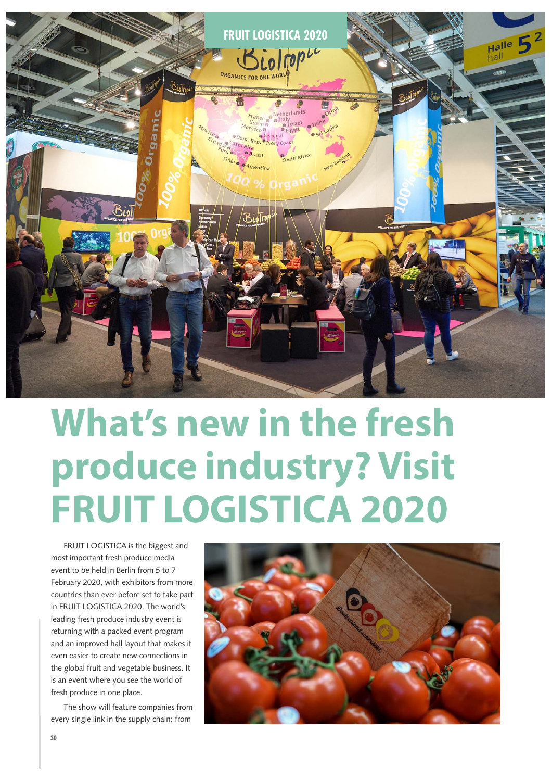

## **What's new in the fresh produce industry? Visit FRUIT LOGISTICA 2020**

FRUIT LOGISTICA is the biggest and most important fresh produce media event to be held in Berlin from 5 to 7 February 2020, with exhibitors from more countries than ever before set to take part in FRUIT LOGISTICA 2020. The world's leading fresh produce industry event is returning with a packed event program and an improved hall layout that makes it even easier to create new connections in the global fruit and vegetable business. It is an event where you see the world of fresh produce in one place.

The show will feature companies from every single link in the supply chain: from

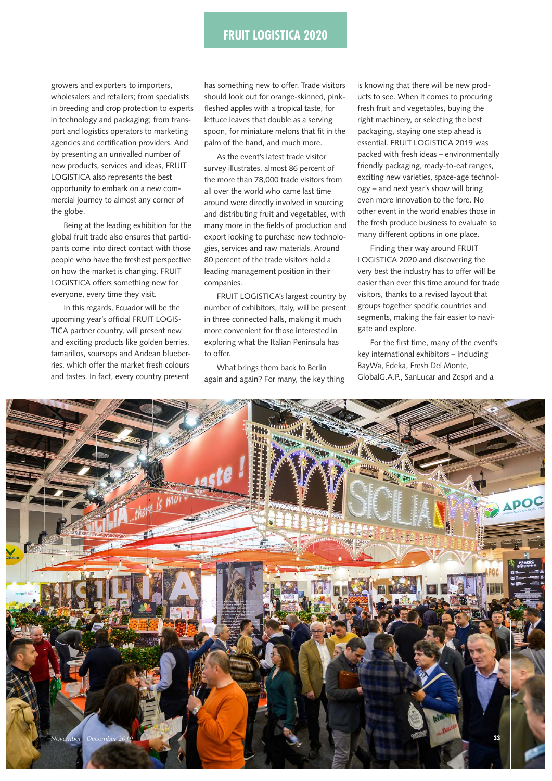## **FRUIT LOGISTICA 2020 Fruit Logistica**

growers and exporters to importers, wholesalers and retailers; from specialists in breeding and crop protection to experts in technology and packaging; from transport and logistics operators to marketing agencies and certification providers. And by presenting an unrivalled number of new products, services and ideas, FRUIT LOGISTICA also represents the best opportunity to embark on a new commercial journey to almost any corner of the globe.

Being at the leading exhibition for the global fruit trade also ensures that participants come into direct contact with those people who have the freshest perspective on how the market is changing. FRUIT LOGISTICA offers something new for everyone, every time they visit.

In this regards, Ecuador will be the upcoming year's official FRUIT LOGIS-TICA partner country, will present new and exciting products like golden berries, tamarillos, soursops and Andean blueberries, which offer the market fresh colours and tastes. In fact, every country present

has something new to offer. Trade visitors should look out for orange-skinned, pinkfleshed apples with a tropical taste, for lettuce leaves that double as a serving spoon, for miniature melons that fit in the palm of the hand, and much more.

As the event's latest trade visitor survey illustrates, almost 86 percent of the more than 78,000 trade visitors from all over the world who came last time around were directly involved in sourcing and distributing fruit and vegetables, with many more in the fields of production and export looking to purchase new technologies, services and raw materials. Around 80 percent of the trade visitors hold a leading management position in their companies.

FRUIT LOGISTICA's largest country by number of exhibitors, Italy, will be present in three connected halls, making it much more convenient for those interested in exploring what the Italian Peninsula has to offer.

What brings them back to Berlin again and again? For many, the key thing is knowing that there will be new products to see. When it comes to procuring fresh fruit and vegetables, buying the right machinery, or selecting the best packaging, staying one step ahead is essential. FRUIT LOGISTICA 2019 was packed with fresh ideas – environmentally friendly packaging, ready-to-eat ranges, exciting new varieties, space-age technology – and next year's show will bring even more innovation to the fore. No other event in the world enables those in the fresh produce business to evaluate so many different options in one place.

Finding their way around FRUIT LOGISTICA 2020 and discovering the very best the industry has to offer will be easier than ever this time around for trade visitors, thanks to a revised layout that groups together specific countries and segments, making the fair easier to navigate and explore.

For the first time, many of the event's key international exhibitors – including BayWa, Edeka, Fresh Del Monte, GlobalG.A.P., SanLucar and Zespri and a